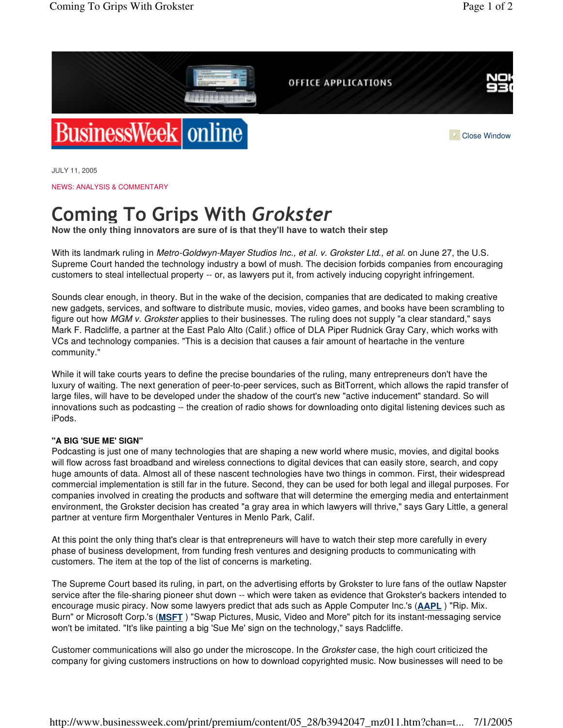

JULY 11, 2005

NEWS: ANALYSIS & COMMENTARY

## Coming To Grips With Grokster

**Now the only thing innovators are sure of is that they'll have to watch their step**

With its landmark ruling in *Metro-Goldwyn-Mayer Studios Inc., et al. v. Grokster Ltd., et al.* on June 27, the U.S. Supreme Court handed the technology industry a bowl of mush. The decision forbids companies from encouraging customers to steal intellectual property -- or, as lawyers put it, from actively inducing copyright infringement.

Sounds clear enough, in theory. But in the wake of the decision, companies that are dedicated to making creative new gadgets, services, and software to distribute music, movies, video games, and books have been scrambling to figure out how *MGM v. Grokster* applies to their businesses. The ruling does not supply "a clear standard," says Mark F. Radcliffe, a partner at the East Palo Alto (Calif.) office of DLA Piper Rudnick Gray Cary, which works with VCs and technology companies. "This is a decision that causes a fair amount of heartache in the venture community."

While it will take courts years to define the precise boundaries of the ruling, many entrepreneurs don't have the luxury of waiting. The next generation of peer-to-peer services, such as BitTorrent, which allows the rapid transfer of large files, will have to be developed under the shadow of the court's new "active inducement" standard. So will innovations such as podcasting -- the creation of radio shows for downloading onto digital listening devices such as iPods.

## **"A BIG 'SUE ME' SIGN"**

Podcasting is just one of many technologies that are shaping a new world where music, movies, and digital books will flow across fast broadband and wireless connections to digital devices that can easily store, search, and copy huge amounts of data. Almost all of these nascent technologies have two things in common. First, their widespread commercial implementation is still far in the future. Second, they can be used for both legal and illegal purposes. For companies involved in creating the products and software that will determine the emerging media and entertainment environment, the Grokster decision has created "a gray area in which lawyers will thrive," says Gary Little, a general partner at venture firm Morgenthaler Ventures in Menlo Park, Calif.

At this point the only thing that's clear is that entrepreneurs will have to watch their step more carefully in every phase of business development, from funding fresh ventures and designing products to communicating with customers. The item at the top of the list of concerns is marketing.

The Supreme Court based its ruling, in part, on the advertising efforts by Grokster to lure fans of the outlaw Napster service after the file-sharing pioneer shut down -- which were taken as evidence that Grokster's backers intended to encourage music piracy. Now some lawyers predict that ads such as Apple Computer Inc.'s (**AAPL** ) "Rip. Mix. Burn" or Microsoft Corp.'s (**MSFT** ) "Swap Pictures, Music, Video and More" pitch for its instant-messaging service won't be imitated. "It's like painting a big 'Sue Me' sign on the technology," says Radcliffe.

Customer communications will also go under the microscope. In the *Grokster* case, the high court criticized the company for giving customers instructions on how to download copyrighted music. Now businesses will need to be